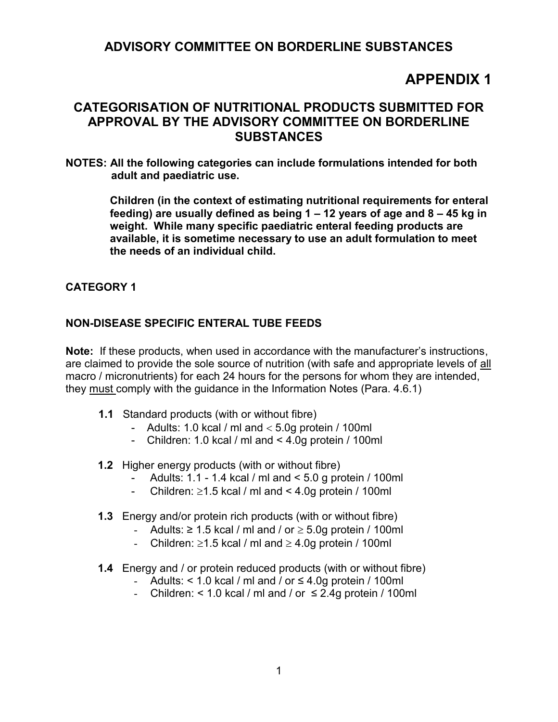## **ADVISORY COMMITTEE ON BORDERLINE SUBSTANCES**

# **APPENDIX 1**

## **CATEGORISATION OF NUTRITIONAL PRODUCTS SUBMITTED FOR APPROVAL BY THE ADVISORY COMMITTEE ON BORDERLINE SUBSTANCES**

**NOTES: All the following categories can include formulations intended for both adult and paediatric use.** 

> **Children (in the context of estimating nutritional requirements for enteral feeding) are usually defined as being 1 – 12 years of age and 8 – 45 kg in weight. While many specific paediatric enteral feeding products are available, it is sometime necessary to use an adult formulation to meet the needs of an individual child.**

#### **CATEGORY 1**

#### **NON-DISEASE SPECIFIC ENTERAL TUBE FEEDS**

**Note:** If these products, when used in accordance with the manufacturer's instructions, are claimed to provide the sole source of nutrition (with safe and appropriate levels of all macro / micronutrients) for each 24 hours for the persons for whom they are intended, they must comply with the guidance in the Information Notes (Para. 4.6.1)

- **1.1** Standard products (with or without fibre)
	- Adults: 1.0 kcal / ml and  $<$  5.0g protein / 100ml
	- Children: 1.0 kcal / ml and < 4.0g protein / 100ml
- **1.2** Higher energy products (with or without fibre)
	- Adults: 1.1 1.4 kcal / ml and < 5.0 g protein / 100ml
	- Children:  $\geq 1.5$  kcal / ml and < 4.0g protein / 100ml
- **1.3** Energy and/or protein rich products (with or without fibre)
	- Adults:  $\geq 1.5$  kcal / ml and / or  $\geq 5.0$ g protein / 100ml
	- Children:  $\geq 1.5$  kcal / ml and  $\geq 4.0$ g protein / 100ml
- **1.4** Energy and / or protein reduced products (with or without fibre)
	- Adults: < 1.0 kcal / ml and / or  $\leq$  4.0g protein / 100ml
	- Children: < 1.0 kcal / ml and / or  $\leq$  2.4g protein / 100ml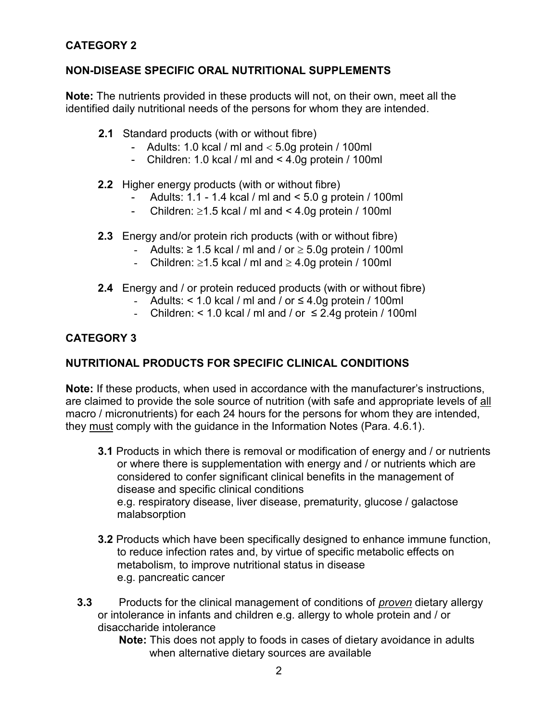## **CATEGORY 2**

## **NON-DISEASE SPECIFIC ORAL NUTRITIONAL SUPPLEMENTS**

**Note:** The nutrients provided in these products will not, on their own, meet all the identified daily nutritional needs of the persons for whom they are intended.

- **2.1** Standard products (with or without fibre)
	- Adults: 1.0 kcal / ml and  $<$  5.0g protein / 100ml
	- Children: 1.0 kcal / ml and < 4.0g protein / 100ml
- **2.2** Higher energy products (with or without fibre)
	- Adults: 1.1 1.4 kcal / ml and < 5.0 g protein / 100ml
	- Children:  $\ge$ 1.5 kcal / ml and < 4.0g protein / 100ml
- **2.3** Energy and/or protein rich products (with or without fibre)
	- Adults:  $\geq 1.5$  kcal / ml and / or  $\geq 5.0$ g protein / 100ml
	- Children:  $\ge$ 1.5 kcal / ml and  $\ge$  4.0g protein / 100ml
- **2.4** Energy and / or protein reduced products (with or without fibre)
	- Adults:  $< 1.0$  kcal / ml and / or  $\leq 4.0$ g protein / 100ml
	- Children: < 1.0 kcal / ml and / or  $\leq$  2.4g protein / 100ml

## **CATEGORY 3**

## **NUTRITIONAL PRODUCTS FOR SPECIFIC CLINICAL CONDITIONS**

**Note:** If these products, when used in accordance with the manufacturer's instructions, are claimed to provide the sole source of nutrition (with safe and appropriate levels of all macro / micronutrients) for each 24 hours for the persons for whom they are intended, they must comply with the guidance in the Information Notes (Para. 4.6.1).

- **3.1** Products in which there is removal or modification of energy and / or nutrients or where there is supplementation with energy and / or nutrients which are considered to confer significant clinical benefits in the management of disease and specific clinical conditions e.g. respiratory disease, liver disease, prematurity, glucose / galactose malabsorption
- **3.2** Products which have been specifically designed to enhance immune function, to reduce infection rates and, by virtue of specific metabolic effects on metabolism, to improve nutritional status in disease e.g. pancreatic cancer
- **3.3** Products for the clinical management of conditions of *proven* dietary allergy or intolerance in infants and children e.g. allergy to whole protein and / or disaccharide intolerance

**Note:** This does not apply to foods in cases of dietary avoidance in adults when alternative dietary sources are available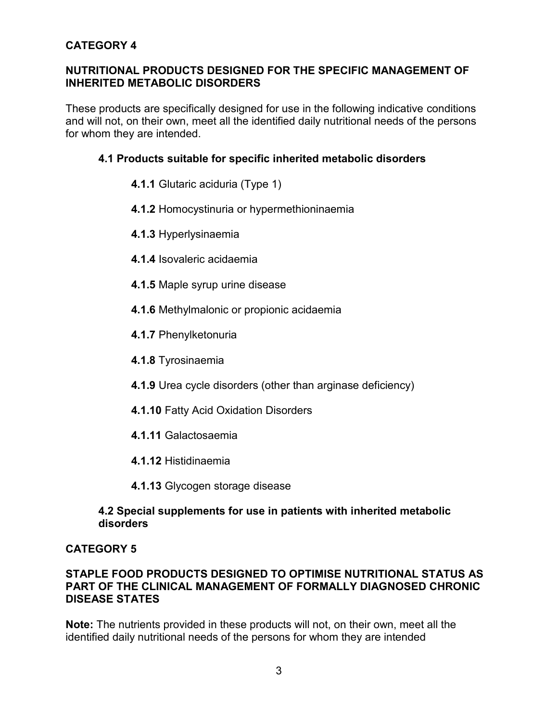## **CATEGORY 4**

#### **NUTRITIONAL PRODUCTS DESIGNED FOR THE SPECIFIC MANAGEMENT OF INHERITED METABOLIC DISORDERS**

These products are specifically designed for use in the following indicative conditions and will not, on their own, meet all the identified daily nutritional needs of the persons for whom they are intended.

#### **4.1 Products suitable for specific inherited metabolic disorders**

- **4.1.1** Glutaric aciduria (Type 1)
- **4.1.2** Homocystinuria or hypermethioninaemia
- **4.1.3** Hyperlysinaemia
- **4.1.4** Isovaleric acidaemia
- **4.1.5** Maple syrup urine disease
- **4.1.6** Methylmalonic or propionic acidaemia
- **4.1.7** Phenylketonuria
- **4.1.8** Tyrosinaemia
- **4.1.9** Urea cycle disorders (other than arginase deficiency)
- **4.1.10** Fatty Acid Oxidation Disorders
- **4.1.11** Galactosaemia
- **4.1.12** Histidinaemia
- **4.1.13** Glycogen storage disease

#### **4.2 Special supplements for use in patients with inherited metabolic disorders**

## **CATEGORY 5**

#### **STAPLE FOOD PRODUCTS DESIGNED TO OPTIMISE NUTRITIONAL STATUS AS PART OF THE CLINICAL MANAGEMENT OF FORMALLY DIAGNOSED CHRONIC DISEASE STATES**

**Note:** The nutrients provided in these products will not, on their own, meet all the identified daily nutritional needs of the persons for whom they are intended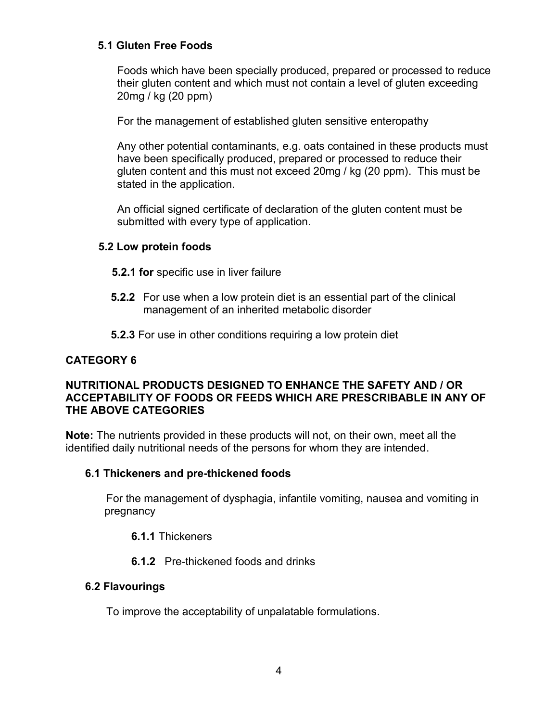#### **5.1 Gluten Free Foods**

Foods which have been specially produced, prepared or processed to reduce their gluten content and which must not contain a level of gluten exceeding 20mg / kg (20 ppm)

For the management of established gluten sensitive enteropathy

Any other potential contaminants, e.g. oats contained in these products must have been specifically produced, prepared or processed to reduce their gluten content and this must not exceed 20mg / kg (20 ppm). This must be stated in the application.

An official signed certificate of declaration of the gluten content must be submitted with every type of application.

## **5.2 Low protein foods**

- **5.2.1 for** specific use in liver failure
- **5.2.2** For use when a low protein diet is an essential part of the clinical management of an inherited metabolic disorder
- **5.2.3** For use in other conditions requiring a low protein diet

## **CATEGORY 6**

#### **NUTRITIONAL PRODUCTS DESIGNED TO ENHANCE THE SAFETY AND / OR ACCEPTABILITY OF FOODS OR FEEDS WHICH ARE PRESCRIBABLE IN ANY OF THE ABOVE CATEGORIES**

**Note:** The nutrients provided in these products will not, on their own, meet all the identified daily nutritional needs of the persons for whom they are intended.

## **6.1 Thickeners and pre-thickened foods**

 For the management of dysphagia, infantile vomiting, nausea and vomiting in pregnancy

## **6.1.1** Thickeners

## **6.1.2** Pre-thickened foods and drinks

## **6.2 Flavourings**

To improve the acceptability of unpalatable formulations.